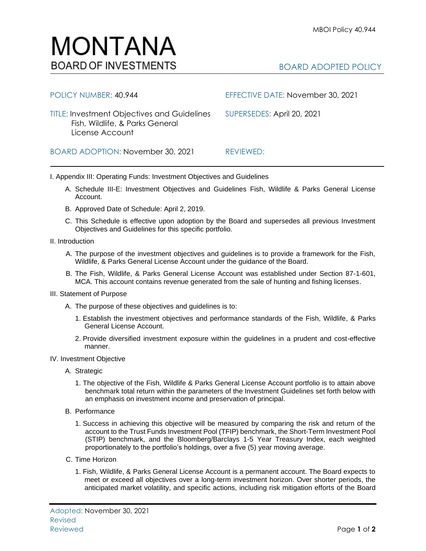## BOARD ADOPTED POLICY

| <b>TITLE: Investment Objectives and Guidelines</b><br>Fish, Wildlife, & Parks General<br>License Account | SUPERSEDES: April 20, 2021 |
|----------------------------------------------------------------------------------------------------------|----------------------------|
| BOARD ADOPTION: November 30, 2021                                                                        | REVIEWED:                  |

POLICY NUMBER: 40.944 EFFECTIVE DATE: November 30, 2021

I. Appendix III: Operating Funds: Investment Objectives and Guidelines

- A. Schedule III-E: Investment Objectives and Guidelines Fish, Wildlife & Parks General License Account.
- B. Approved Date of Schedule: April 2, 2019.
- C. This Schedule is effective upon adoption by the Board and supersedes all previous Investment Objectives and Guidelines for this specific portfolio*.*
- II. Introduction
	- A. The purpose of the investment objectives and guidelines is to provide a framework for the Fish, Wildlife, & Parks General License Account under the guidance of the Board.
	- B. The Fish, Wildlife, & Parks General License Account was established under Section 87-1-601, MCA. This account contains revenue generated from the sale of hunting and fishing licenses.
- III. Statement of Purpose
	- A. The purpose of these objectives and guidelines is to:
		- 1. Establish the investment objectives and performance standards of the Fish, Wildlife, & Parks General License Account.
		- 2. Provide diversified investment exposure within the guidelines in a prudent and cost-effective manner.
- IV. Investment Objective
	- A. Strategic
		- 1. The objective of the Fish, Wildlife & Parks General License Account portfolio is to attain above benchmark total return within the parameters of the Investment Guidelines set forth below with an emphasis on investment income and preservation of principal.
	- B. Performance
		- 1. Success in achieving this objective will be measured by comparing the risk and return of the account to the Trust Funds Investment Pool (TFIP) benchmark, the Short-Term Investment Pool (STIP) benchmark, and the Bloomberg/Barclays 1-5 Year Treasury Index, each weighted proportionately to the portfolio's holdings, over a five (5) year moving average.
	- C. Time Horizon
		- 1. Fish, Wildlife, & Parks General License Account is a permanent account. The Board expects to meet or exceed all objectives over a long-term investment horizon. Over shorter periods, the anticipated market volatility, and specific actions, including risk mitigation efforts of the Board